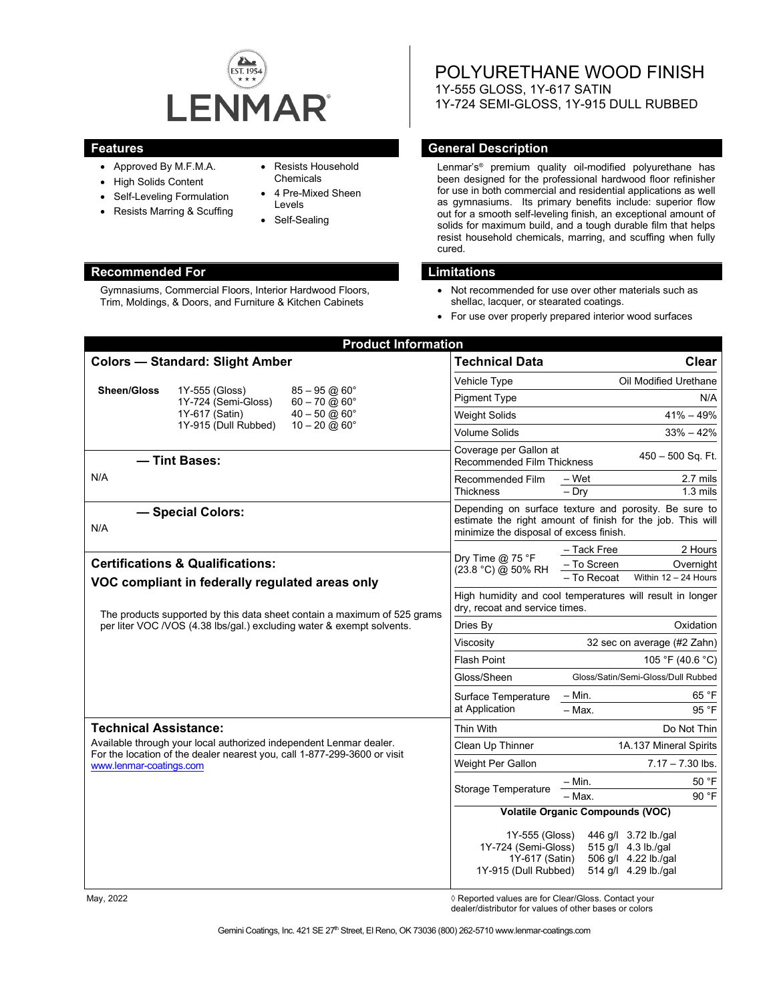

- Approved By M.F.M.A.
- High Solids Content
- Self-Leveling Formulation
- Resists Marring & Scuffing
- Resists Household Chemicals
- 4 Pre-Mixed Sheen Levels
- Self-Sealing

# **Recommended For Limitations**

Gymnasiums, Commercial Floors, Interior Hardwood Floors, Trim, Moldings, & Doors, and Furniture & Kitchen Cabinets

POLYURETHANE WOOD FINISH 1Y-555 GLOSS, 1Y-617 SATIN 1Y-724 SEMI-GLOSS, 1Y-915 DULL RUBBED

### **Features General Description**

Lenmar's® premium quality oil-modified polyurethane has been designed for the professional hardwood floor refinisher for use in both commercial and residential applications as well as gymnasiums. Its primary benefits include: superior flow out for a smooth self-leveling finish, an exceptional amount of solids for maximum build, and a tough durable film that helps resist household chemicals, marring, and scuffing when fully cured.

- Not recommended for use over other materials such as shellac, lacquer, or stearated coatings.
- For use over properly prepared interior wood surfaces

| <b>Product Information</b>                                                                                                                                                                                                                          |                                                                                                                                                                           |                                                       |                                                                                                                                                                |                                                                                             |
|-----------------------------------------------------------------------------------------------------------------------------------------------------------------------------------------------------------------------------------------------------|---------------------------------------------------------------------------------------------------------------------------------------------------------------------------|-------------------------------------------------------|----------------------------------------------------------------------------------------------------------------------------------------------------------------|---------------------------------------------------------------------------------------------|
| <b>Colors - Standard: Slight Amber</b>                                                                                                                                                                                                              |                                                                                                                                                                           |                                                       | <b>Technical Data</b>                                                                                                                                          | <b>Clear</b>                                                                                |
|                                                                                                                                                                                                                                                     |                                                                                                                                                                           |                                                       | Vehicle Type                                                                                                                                                   | Oil Modified Urethane                                                                       |
| <b>Sheen/Gloss</b>                                                                                                                                                                                                                                  | 1Y-555 (Gloss)<br>1Y-724 (Semi-Gloss)                                                                                                                                     | $85 - 95 \omega 60^\circ$<br>$60 - 70$ @ $60^{\circ}$ | <b>Pigment Type</b>                                                                                                                                            | N/A                                                                                         |
|                                                                                                                                                                                                                                                     | 1Y-617 (Satin)                                                                                                                                                            | $40 - 50$ @ $60^{\circ}$                              | <b>Weight Solids</b>                                                                                                                                           | $41\% - 49\%$                                                                               |
|                                                                                                                                                                                                                                                     | 1Y-915 (Dull Rubbed)                                                                                                                                                      | $10 - 20 \omega 60^\circ$                             | <b>Volume Solids</b>                                                                                                                                           | $33\% - 42\%$                                                                               |
| - Tint Bases:                                                                                                                                                                                                                                       |                                                                                                                                                                           |                                                       | Coverage per Gallon at<br>450 - 500 Sq. Ft.<br>Recommended Film Thickness                                                                                      |                                                                                             |
| N/A                                                                                                                                                                                                                                                 |                                                                                                                                                                           |                                                       | Recommended Film<br><b>Thickness</b>                                                                                                                           | 2.7 mils<br>– Wet<br>$-$ Drv<br>$1.3 \text{ miles}$                                         |
| - Special Colors:<br>N/A                                                                                                                                                                                                                            |                                                                                                                                                                           |                                                       | Depending on surface texture and porosity. Be sure to<br>estimate the right amount of finish for the job. This will<br>minimize the disposal of excess finish. |                                                                                             |
| <b>Certifications &amp; Qualifications:</b><br>VOC compliant in federally regulated areas only<br>The products supported by this data sheet contain a maximum of 525 grams<br>per liter VOC /VOS (4.38 lbs/gal.) excluding water & exempt solvents. |                                                                                                                                                                           |                                                       | Dry Time $@$ 75 °F<br>(23.8 °C) @ 50% RH                                                                                                                       | - Tack Free<br>2 Hours<br>- To Screen<br>Overnight<br>- To Recoat<br>Within $12 - 24$ Hours |
|                                                                                                                                                                                                                                                     |                                                                                                                                                                           |                                                       | High humidity and cool temperatures will result in longer<br>dry, recoat and service times.                                                                    |                                                                                             |
|                                                                                                                                                                                                                                                     |                                                                                                                                                                           |                                                       | Dries By                                                                                                                                                       | Oxidation                                                                                   |
|                                                                                                                                                                                                                                                     |                                                                                                                                                                           |                                                       | Viscosity                                                                                                                                                      | 32 sec on average (#2 Zahn)                                                                 |
|                                                                                                                                                                                                                                                     |                                                                                                                                                                           | <b>Flash Point</b>                                    | 105 °F (40.6 °C)                                                                                                                                               |                                                                                             |
|                                                                                                                                                                                                                                                     |                                                                                                                                                                           | Gloss/Sheen                                           | Gloss/Satin/Semi-Gloss/Dull Rubbed                                                                                                                             |                                                                                             |
|                                                                                                                                                                                                                                                     |                                                                                                                                                                           |                                                       | Surface Temperature<br>at Application                                                                                                                          | 65 °F<br>– Min.                                                                             |
|                                                                                                                                                                                                                                                     |                                                                                                                                                                           | 95 °F<br>$-$ Max.                                     |                                                                                                                                                                |                                                                                             |
| <b>Technical Assistance:</b>                                                                                                                                                                                                                        |                                                                                                                                                                           |                                                       | Thin With                                                                                                                                                      | Do Not Thin                                                                                 |
|                                                                                                                                                                                                                                                     | Available through your local authorized independent Lenmar dealer.<br>For the location of the dealer nearest you, call 1-877-299-3600 or visit<br>www.lenmar-coatings.com |                                                       | Clean Up Thinner                                                                                                                                               | 1A.137 Mineral Spirits                                                                      |
|                                                                                                                                                                                                                                                     |                                                                                                                                                                           |                                                       | Weight Per Gallon                                                                                                                                              | $7.17 - 7.30$ lbs.                                                                          |
|                                                                                                                                                                                                                                                     |                                                                                                                                                                           |                                                       | Storage Temperature                                                                                                                                            | 50 °F<br>– Min.<br>- Max.<br>90 °F                                                          |
|                                                                                                                                                                                                                                                     |                                                                                                                                                                           | <b>Volatile Organic Compounds (VOC)</b>               |                                                                                                                                                                |                                                                                             |
|                                                                                                                                                                                                                                                     |                                                                                                                                                                           |                                                       | 1Y-555 (Gloss)<br>1Y-724 (Semi-Gloss)<br>1Y-617 (Satin)<br>1Y-915 (Dull Rubbed)                                                                                | 446 g/l 3.72 lb./gal<br>515 g/l 4.3 lb./gal<br>506 g/l 4.22 lb./gal<br>514 g/l 4.29 lb./gal |

May, 2022 *May, 2022 Reported values are for Clear/Gloss. Contact your* 

dealer/distributor for values of other bases or colors